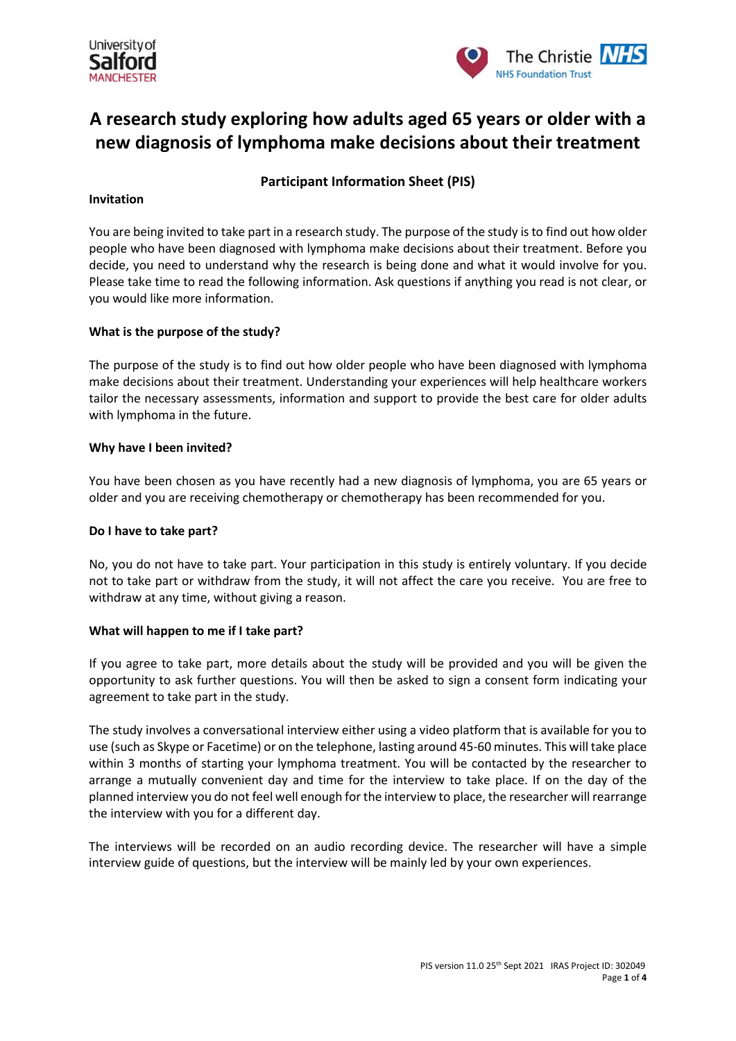



# **A research study exploring how adults aged 65 years or older with a new diagnosis of lymphoma make decisions about their treatment**

# **Participant Information Sheet (PIS)**

### **Invitation**

You are being invited to take part in a research study. The purpose of the study is to find out how older people who have been diagnosed with lymphoma make decisions about their treatment. Before you decide, you need to understand why the research is being done and what it would involve for you. Please take time to read the following information. Ask questions if anything you read is not clear, or you would like more information.

# **What is the purpose of the study?**

The purpose of the study is to find out how older people who have been diagnosed with lymphoma make decisions about their treatment. Understanding your experiences will help healthcare workers tailor the necessary assessments, information and support to provide the best care for older adults with lymphoma in the future.

#### **Why have I been invited?**

You have been chosen as you have recently had a new diagnosis of lymphoma, you are 65 years or older and you are receiving chemotherapy or chemotherapy has been recommended for you.

#### **Do I have to take part?**

No, you do not have to take part. Your participation in this study is entirely voluntary. If you decide not to take part or withdraw from the study, it will not affect the care you receive. You are free to withdraw at any time, without giving a reason.

# **What will happen to me if I take part?**

If you agree to take part, more details about the study will be provided and you will be given the opportunity to ask further questions. You will then be asked to sign a consent form indicating your agreement to take part in the study.

The study involves a conversational interview either using a video platform that is available for you to use (such as Skype or Facetime) or on the telephone, lasting around 45-60 minutes. This will take place within 3 months of starting your lymphoma treatment. You will be contacted by the researcher to arrange a mutually convenient day and time for the interview to take place. If on the day of the planned interview you do not feel well enough for the interview to place, the researcher will rearrange the interview with you for a different day.

The interviews will be recorded on an audio recording device. The researcher will have a simple interview guide of questions, but the interview will be mainly led by your own experiences.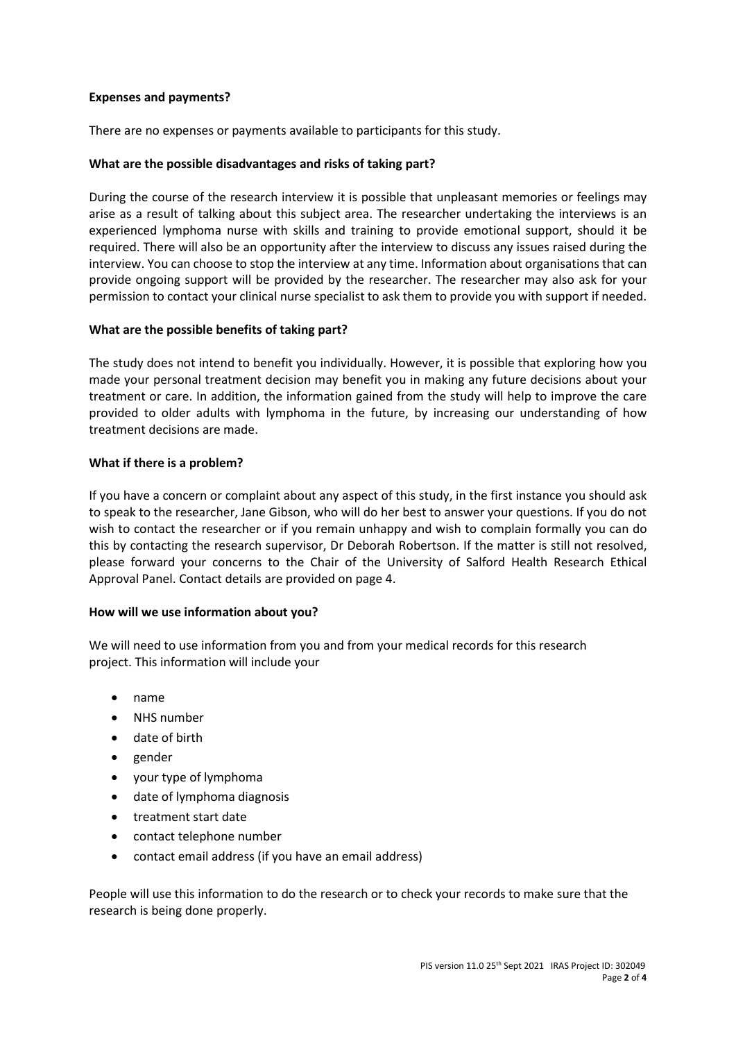# **Expenses and payments?**

There are no expenses or payments available to participants for this study.

# **What are the possible disadvantages and risks of taking part?**

During the course of the research interview it is possible that unpleasant memories or feelings may arise as a result of talking about this subject area. The researcher undertaking the interviews is an experienced lymphoma nurse with skills and training to provide emotional support, should it be required. There will also be an opportunity after the interview to discuss any issues raised during the interview. You can choose to stop the interview at any time. Information about organisations that can provide ongoing support will be provided by the researcher. The researcher may also ask for your permission to contact your clinical nurse specialist to ask them to provide you with support if needed.

# **What are the possible benefits of taking part?**

The study does not intend to benefit you individually. However, it is possible that exploring how you made your personal treatment decision may benefit you in making any future decisions about your treatment or care. In addition, the information gained from the study will help to improve the care provided to older adults with lymphoma in the future, by increasing our understanding of how treatment decisions are made.

# **What if there is a problem?**

If you have a concern or complaint about any aspect of this study, in the first instance you should ask to speak to the researcher, Jane Gibson, who will do her best to answer your questions. If you do not wish to contact the researcher or if you remain unhappy and wish to complain formally you can do this by contacting the research supervisor, Dr Deborah Robertson. If the matter is still not resolved, please forward your concerns to the Chair of the University of Salford Health Research Ethical Approval Panel. Contact details are provided on page 4.

# **How will we use information about you?**

We will need to use information from you and from your medical records for this research project. This information will include your

- name
- NHS number
- date of birth
- gender
- your type of lymphoma
- date of lymphoma diagnosis
- treatment start date
- contact telephone number
- contact email address (if you have an email address)

People will use this information to do the research or to check your records to make sure that the research is being done properly.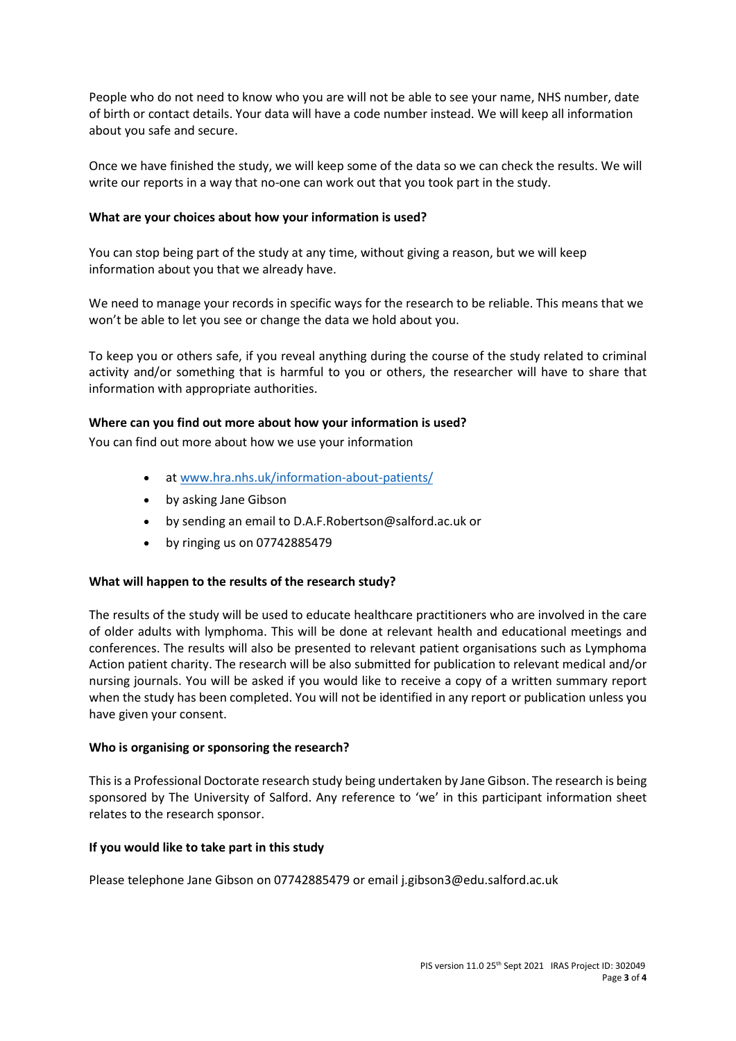People who do not need to know who you are will not be able to see your name, NHS number, date of birth or contact details. Your data will have a code number instead. We will keep all information about you safe and secure.

Once we have finished the study, we will keep some of the data so we can check the results. We will write our reports in a way that no-one can work out that you took part in the study.

# **What are your choices about how your information is used?**

You can stop being part of the study at any time, without giving a reason, but we will keep information about you that we already have.

We need to manage your records in specific ways for the research to be reliable. This means that we won't be able to let you see or change the data we hold about you.

To keep you or others safe, if you reveal anything during the course of the study related to criminal activity and/or something that is harmful to you or others, the researcher will have to share that information with appropriate authorities.

#### **Where can you find out more about how your information is used?**

You can find out more about how we use your information

- at [www.hra.nhs.uk/information-about-patients/](https://www.hra.nhs.uk/information-about-patients/)
- by asking Jane Gibson
- by sending an email to D.A.F.Robertson@salford.ac.uk or
- by ringing us on 07742885479

# **What will happen to the results of the research study?**

The results of the study will be used to educate healthcare practitioners who are involved in the care of older adults with lymphoma. This will be done at relevant health and educational meetings and conferences. The results will also be presented to relevant patient organisations such as Lymphoma Action patient charity. The research will be also submitted for publication to relevant medical and/or nursing journals. You will be asked if you would like to receive a copy of a written summary report when the study has been completed. You will not be identified in any report or publication unless you have given your consent.

#### **Who is organising or sponsoring the research?**

This is a Professional Doctorate research study being undertaken by Jane Gibson. The research is being sponsored by The University of Salford. Any reference to 'we' in this participant information sheet relates to the research sponsor.

# **If you would like to take part in this study**

Please telephone Jane Gibson on 07742885479 or email j.gibson3@edu.salford.ac.uk